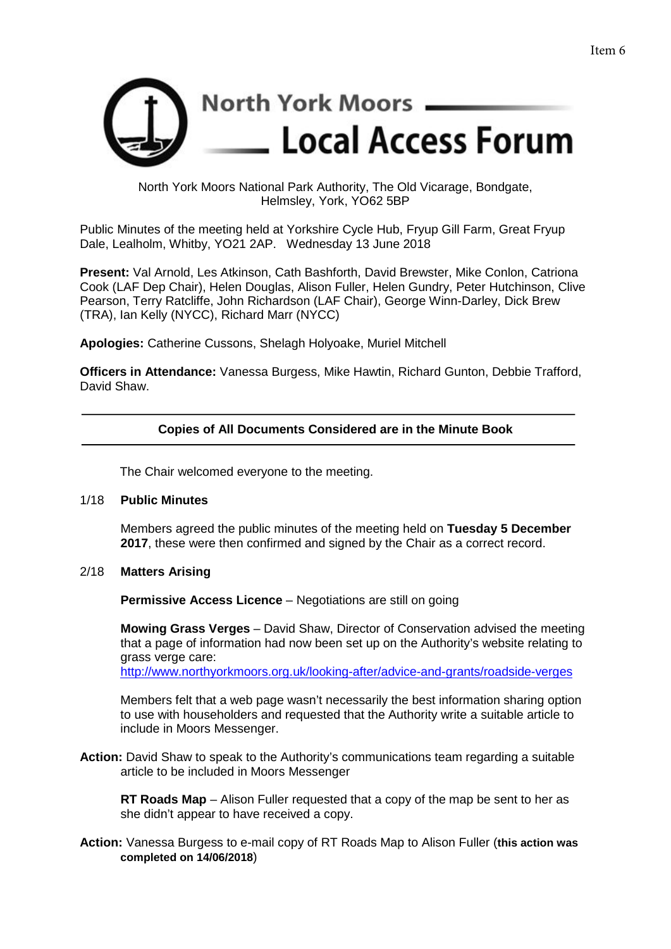

North York Moors National Park Authority, The Old Vicarage, Bondgate, Helmsley, York, YO62 5BP

Public Minutes of the meeting held at Yorkshire Cycle Hub, Fryup Gill Farm, Great Fryup Dale, Lealholm, Whitby, YO21 2AP. Wednesday 13 June 2018

**Present:** Val Arnold, Les Atkinson, Cath Bashforth, David Brewster, Mike Conlon, Catriona Cook (LAF Dep Chair), Helen Douglas, Alison Fuller, Helen Gundry, Peter Hutchinson, Clive Pearson, Terry Ratcliffe, John Richardson (LAF Chair), George Winn-Darley, Dick Brew (TRA), Ian Kelly (NYCC), Richard Marr (NYCC)

**Apologies:** Catherine Cussons, Shelagh Holyoake, Muriel Mitchell

**Officers in Attendance:** Vanessa Burgess, Mike Hawtin, Richard Gunton, Debbie Trafford, David Shaw.

# **Copies of All Documents Considered are in the Minute Book**

The Chair welcomed everyone to the meeting.

### 1/18 **Public Minutes**

Members agreed the public minutes of the meeting held on **Tuesday 5 December 2017**, these were then confirmed and signed by the Chair as a correct record.

### 2/18 **Matters Arising**

**Permissive Access Licence** – Negotiations are still on going

**Mowing Grass Verges** – David Shaw, Director of Conservation advised the meeting that a page of information had now been set up on the Authority's website relating to grass verge care: <http://www.northyorkmoors.org.uk/looking-after/advice-and-grants/roadside-verges>

Members felt that a web page wasn't necessarily the best information sharing option to use with householders and requested that the Authority write a suitable article to include in Moors Messenger.

**Action:** David Shaw to speak to the Authority's communications team regarding a suitable article to be included in Moors Messenger

**RT Roads Map** – Alison Fuller requested that a copy of the map be sent to her as she didn't appear to have received a copy.

**Action:** Vanessa Burgess to e-mail copy of RT Roads Map to Alison Fuller (**this action was completed on 14/06/2018**)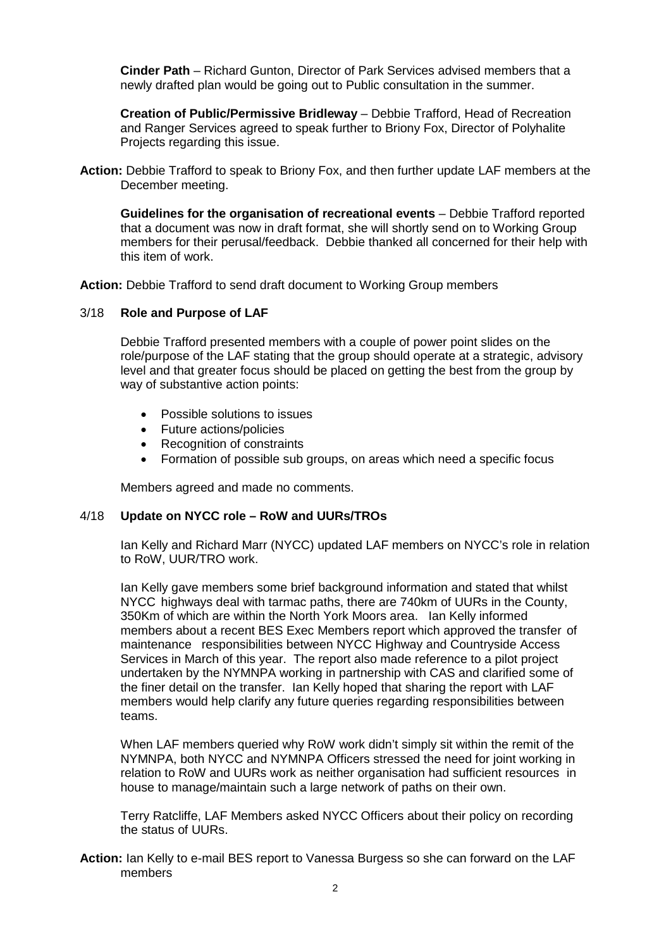**Cinder Path** – Richard Gunton, Director of Park Services advised members that a newly drafted plan would be going out to Public consultation in the summer.

**Creation of Public/Permissive Bridleway** – Debbie Trafford, Head of Recreation and Ranger Services agreed to speak further to Briony Fox, Director of Polyhalite Projects regarding this issue.

**Action:** Debbie Trafford to speak to Briony Fox, and then further update LAF members at the December meeting.

**Guidelines for the organisation of recreational events** – Debbie Trafford reported that a document was now in draft format, she will shortly send on to Working Group members for their perusal/feedback. Debbie thanked all concerned for their help with this item of work.

**Action:** Debbie Trafford to send draft document to Working Group members

### 3/18 **Role and Purpose of LAF**

Debbie Trafford presented members with a couple of power point slides on the role/purpose of the LAF stating that the group should operate at a strategic, advisory level and that greater focus should be placed on getting the best from the group by way of substantive action points:

- Possible solutions to issues
- Future actions/policies
- Recognition of constraints
- Formation of possible sub groups, on areas which need a specific focus

Members agreed and made no comments.

# 4/18 **Update on NYCC role – RoW and UURs/TROs**

Ian Kelly and Richard Marr (NYCC) updated LAF members on NYCC's role in relation to RoW, UUR/TRO work.

Ian Kelly gave members some brief background information and stated that whilst NYCC highways deal with tarmac paths, there are 740km of UURs in the County, 350Km of which are within the North York Moors area. Ian Kelly informed members about a recent BES Exec Members report which approved the transfer of maintenance responsibilities between NYCC Highway and Countryside Access Services in March of this year. The report also made reference to a pilot project undertaken by the NYMNPA working in partnership with CAS and clarified some of the finer detail on the transfer. Ian Kelly hoped that sharing the report with LAF members would help clarify any future queries regarding responsibilities between teams.

When LAF members queried why RoW work didn't simply sit within the remit of the NYMNPA, both NYCC and NYMNPA Officers stressed the need for joint working in relation to RoW and UURs work as neither organisation had sufficient resources in house to manage/maintain such a large network of paths on their own.

Terry Ratcliffe, LAF Members asked NYCC Officers about their policy on recording the status of UURs.

**Action:** Ian Kelly to e-mail BES report to Vanessa Burgess so she can forward on the LAF members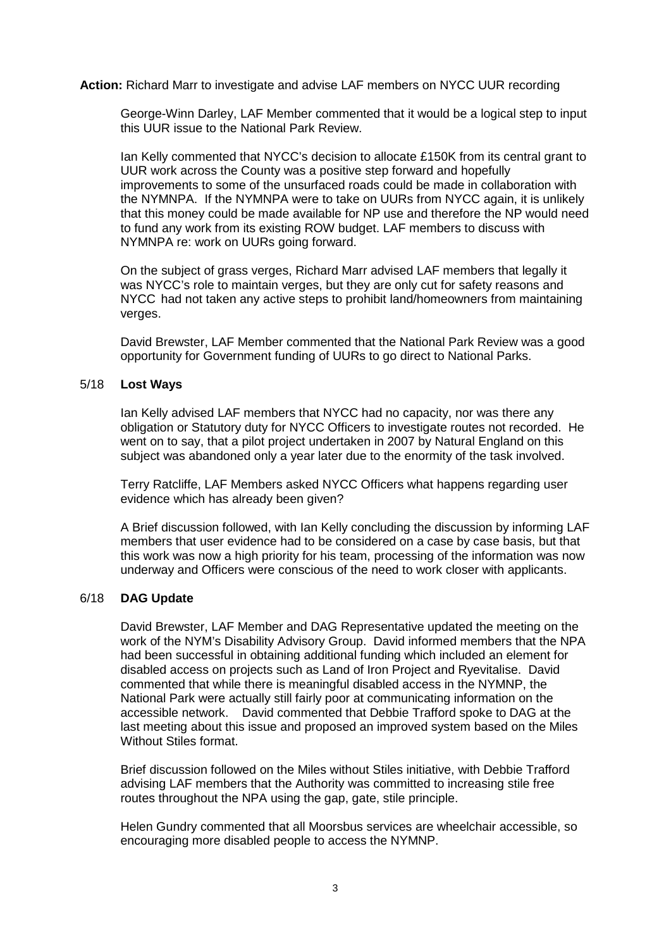**Action:** Richard Marr to investigate and advise LAF members on NYCC UUR recording

George-Winn Darley, LAF Member commented that it would be a logical step to input this UUR issue to the National Park Review.

Ian Kelly commented that NYCC's decision to allocate £150K from its central grant to UUR work across the County was a positive step forward and hopefully improvements to some of the unsurfaced roads could be made in collaboration with the NYMNPA. If the NYMNPA were to take on UURs from NYCC again, it is unlikely that this money could be made available for NP use and therefore the NP would need to fund any work from its existing ROW budget. LAF members to discuss with NYMNPA re: work on UURs going forward.

On the subject of grass verges, Richard Marr advised LAF members that legally it was NYCC's role to maintain verges, but they are only cut for safety reasons and NYCC had not taken any active steps to prohibit land/homeowners from maintaining verges.

David Brewster, LAF Member commented that the National Park Review was a good opportunity for Government funding of UURs to go direct to National Parks.

### 5/18 **Lost Ways**

Ian Kelly advised LAF members that NYCC had no capacity, nor was there any obligation or Statutory duty for NYCC Officers to investigate routes not recorded. He went on to say, that a pilot project undertaken in 2007 by Natural England on this subject was abandoned only a year later due to the enormity of the task involved.

Terry Ratcliffe, LAF Members asked NYCC Officers what happens regarding user evidence which has already been given?

A Brief discussion followed, with Ian Kelly concluding the discussion by informing LAF members that user evidence had to be considered on a case by case basis, but that this work was now a high priority for his team, processing of the information was now underway and Officers were conscious of the need to work closer with applicants.

### 6/18 **DAG Update**

David Brewster, LAF Member and DAG Representative updated the meeting on the work of the NYM's Disability Advisory Group. David informed members that the NPA had been successful in obtaining additional funding which included an element for disabled access on projects such as Land of Iron Project and Ryevitalise. David commented that while there is meaningful disabled access in the NYMNP, the National Park were actually still fairly poor at communicating information on the accessible network. David commented that Debbie Trafford spoke to DAG at the last meeting about this issue and proposed an improved system based on the Miles Without Stiles format.

Brief discussion followed on the Miles without Stiles initiative, with Debbie Trafford advising LAF members that the Authority was committed to increasing stile free routes throughout the NPA using the gap, gate, stile principle.

Helen Gundry commented that all Moorsbus services are wheelchair accessible, so encouraging more disabled people to access the NYMNP.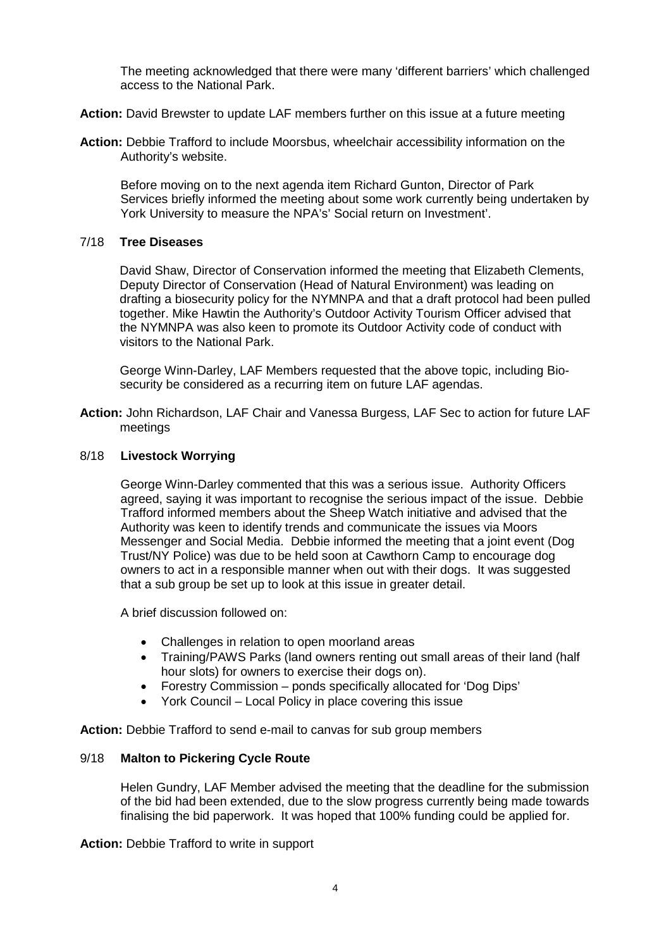The meeting acknowledged that there were many 'different barriers' which challenged access to the National Park.

**Action:** David Brewster to update LAF members further on this issue at a future meeting

**Action:** Debbie Trafford to include Moorsbus, wheelchair accessibility information on the Authority's website.

Before moving on to the next agenda item Richard Gunton, Director of Park Services briefly informed the meeting about some work currently being undertaken by York University to measure the NPA's' Social return on Investment'.

## 7/18 **Tree Diseases**

David Shaw, Director of Conservation informed the meeting that Elizabeth Clements, Deputy Director of Conservation (Head of Natural Environment) was leading on drafting a biosecurity policy for the NYMNPA and that a draft protocol had been pulled together. Mike Hawtin the Authority's Outdoor Activity Tourism Officer advised that the NYMNPA was also keen to promote its Outdoor Activity code of conduct with visitors to the National Park.

George Winn-Darley, LAF Members requested that the above topic, including Biosecurity be considered as a recurring item on future LAF agendas.

**Action:** John Richardson, LAF Chair and Vanessa Burgess, LAF Sec to action for future LAF meetings

### 8/18 **Livestock Worrying**

George Winn-Darley commented that this was a serious issue. Authority Officers agreed, saying it was important to recognise the serious impact of the issue. Debbie Trafford informed members about the Sheep Watch initiative and advised that the Authority was keen to identify trends and communicate the issues via Moors Messenger and Social Media. Debbie informed the meeting that a joint event (Dog Trust/NY Police) was due to be held soon at Cawthorn Camp to encourage dog owners to act in a responsible manner when out with their dogs. It was suggested that a sub group be set up to look at this issue in greater detail.

A brief discussion followed on:

- Challenges in relation to open moorland areas
- Training/PAWS Parks (land owners renting out small areas of their land (half hour slots) for owners to exercise their dogs on).
- Forestry Commission ponds specifically allocated for 'Dog Dips'
- York Council Local Policy in place covering this issue

**Action:** Debbie Trafford to send e-mail to canvas for sub group members

### 9/18 **Malton to Pickering Cycle Route**

Helen Gundry, LAF Member advised the meeting that the deadline for the submission of the bid had been extended, due to the slow progress currently being made towards finalising the bid paperwork. It was hoped that 100% funding could be applied for.

**Action:** Debbie Trafford to write in support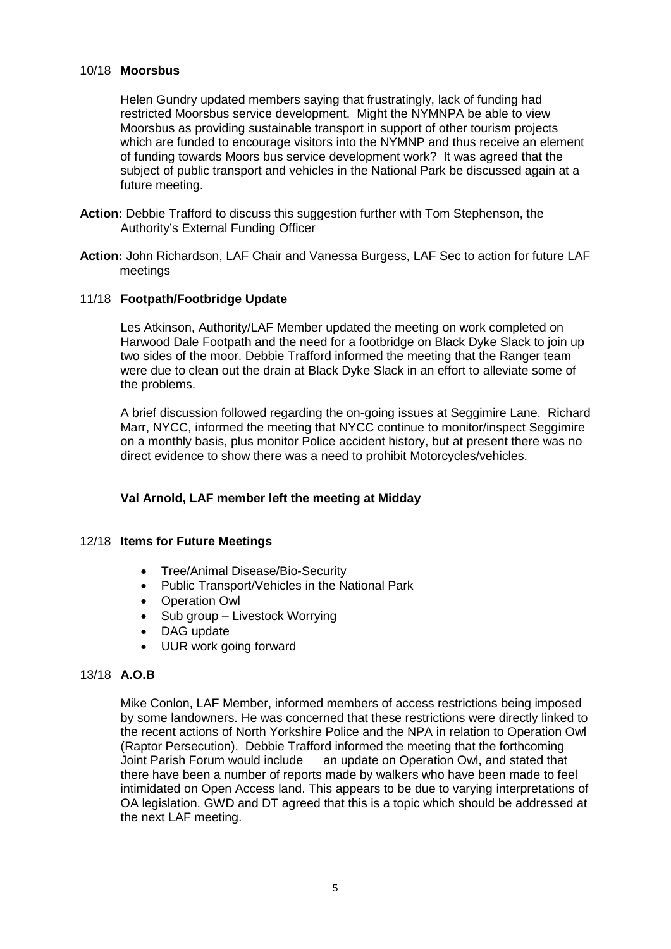### 10/18 **Moorsbus**

Helen Gundry updated members saying that frustratingly, lack of funding had restricted Moorsbus service development. Might the NYMNPA be able to view Moorsbus as providing sustainable transport in support of other tourism projects which are funded to encourage visitors into the NYMNP and thus receive an element of funding towards Moors bus service development work? It was agreed that the subject of public transport and vehicles in the National Park be discussed again at a future meeting.

- **Action:** Debbie Trafford to discuss this suggestion further with Tom Stephenson, the Authority's External Funding Officer
- **Action:** John Richardson, LAF Chair and Vanessa Burgess, LAF Sec to action for future LAF meetings

### 11/18 **Footpath/Footbridge Update**

Les Atkinson, Authority/LAF Member updated the meeting on work completed on Harwood Dale Footpath and the need for a footbridge on Black Dyke Slack to join up two sides of the moor. Debbie Trafford informed the meeting that the Ranger team were due to clean out the drain at Black Dyke Slack in an effort to alleviate some of the problems.

A brief discussion followed regarding the on-going issues at Seggimire Lane. Richard Marr, NYCC, informed the meeting that NYCC continue to monitor/inspect Seggimire on a monthly basis, plus monitor Police accident history, but at present there was no direct evidence to show there was a need to prohibit Motorcycles/vehicles.

# **Val Arnold, LAF member left the meeting at Midday**

### 12/18 **Items for Future Meetings**

- Tree/Animal Disease/Bio-Security
- Public Transport/Vehicles in the National Park
- Operation Owl
- Sub group Livestock Worrying
- DAG update
- UUR work going forward

### 13/18 **A.O.B**

Mike Conlon, LAF Member, informed members of access restrictions being imposed by some landowners. He was concerned that these restrictions were directly linked to the recent actions of North Yorkshire Police and the NPA in relation to Operation Owl (Raptor Persecution). Debbie Trafford informed the meeting that the forthcoming Joint Parish Forum would include an update on Operation Owl, and stated that there have been a number of reports made by walkers who have been made to feel intimidated on Open Access land. This appears to be due to varying interpretations of OA legislation. GWD and DT agreed that this is a topic which should be addressed at the next LAF meeting.